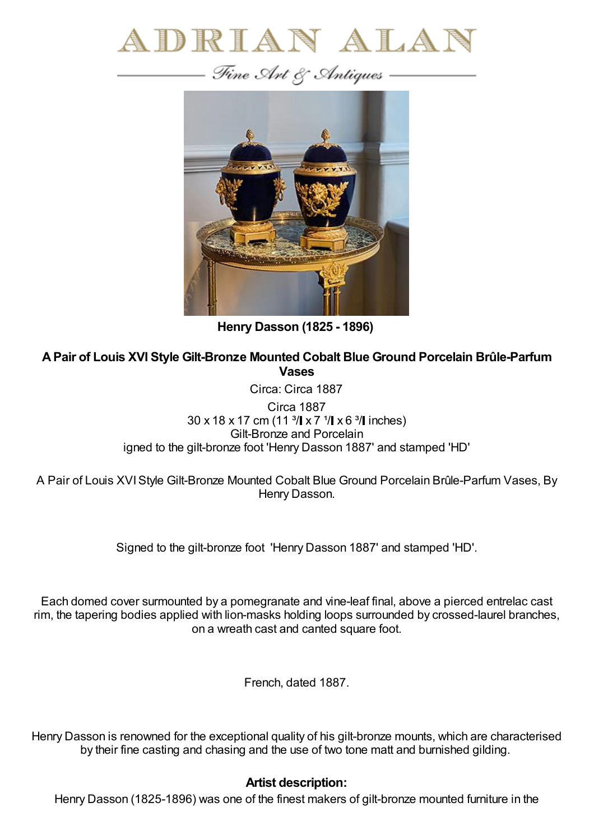



**Henry Dasson (1825 - 1896)**

**APair of Louis XVI Style Gilt-Bronze Mounted Cobalt Blue Ground Porcelain Brûle-Parfum Vases**

Circa: Circa 1887

Circa 1887  $30 \times 18 \times 17$  cm (11  $\frac{3}{1} \times 7$   $\frac{1}{1} \times 6$   $\frac{3}{1}$  inches) Gilt-Bronze and Porcelain igned to the gilt-bronze foot 'Henry Dasson 1887' and stamped 'HD'

A Pair of Louis XVIStyle Gilt-Bronze Mounted Cobalt Blue Ground Porcelain Brûle-Parfum Vases, By Henry Dasson.

Signed to the gilt-bronze foot 'Henry Dasson 1887' and stamped 'HD'.

Each domed cover surmounted by a pomegranate and vine-leaf final, above a pierced entrelac cast rim, the tapering bodies applied with lion-masks holding loops surrounded by crossed-laurel branches, on a wreath cast and canted square foot.

French, dated 1887.

Henry Dasson is renowned for the exceptional quality of his gilt-bronze mounts, which are characterised by their fine casting and chasing and the use of two tone matt and burnished gilding.

## **Artist description:**

Henry Dasson (1825-1896) was one of the finest makers of gilt-bronze mounted furniture in the